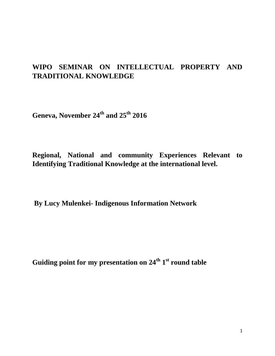## **WIPO SEMINAR ON INTELLECTUAL PROPERTY AND TRADITIONAL KNOWLEDGE**

**Geneva, November 24th and 25th 2016** 

**Regional, National and community Experiences Relevant to Identifying Traditional Knowledge at the international level.** 

**By Lucy Mulenkei- Indigenous Information Network**

**Guiding point for my presentation on 24th 1 st round table**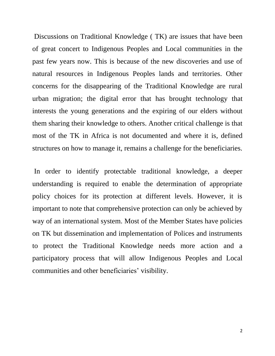Discussions on Traditional Knowledge ( TK) are issues that have been of great concert to Indigenous Peoples and Local communities in the past few years now. This is because of the new discoveries and use of natural resources in Indigenous Peoples lands and territories. Other concerns for the disappearing of the Traditional Knowledge are rural urban migration; the digital error that has brought technology that interests the young generations and the expiring of our elders without them sharing their knowledge to others. Another critical challenge is that most of the TK in Africa is not documented and where it is, defined structures on how to manage it, remains a challenge for the beneficiaries.

In order to identify protectable traditional knowledge, a deeper understanding is required to enable the determination of appropriate policy choices for its protection at different levels. However, it is important to note that comprehensive protection can only be achieved by way of an international system. Most of the Member States have policies on TK but dissemination and implementation of Polices and instruments to protect the Traditional Knowledge needs more action and a participatory process that will allow Indigenous Peoples and Local communities and other beneficiaries' visibility.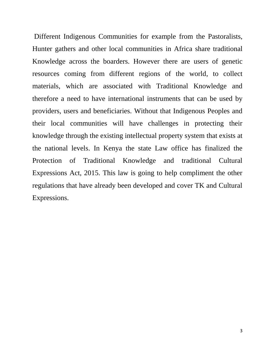Different Indigenous Communities for example from the Pastoralists, Hunter gathers and other local communities in Africa share traditional Knowledge across the boarders. However there are users of genetic resources coming from different regions of the world, to collect materials, which are associated with Traditional Knowledge and therefore a need to have international instruments that can be used by providers, users and beneficiaries. Without that Indigenous Peoples and their local communities will have challenges in protecting their knowledge through the existing intellectual property system that exists at the national levels. In Kenya the state Law office has finalized the Protection of Traditional Knowledge and traditional Cultural Expressions Act, 2015. This law is going to help compliment the other regulations that have already been developed and cover TK and Cultural Expressions.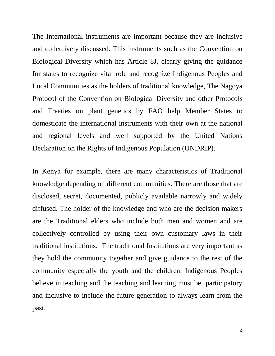The International instruments are important because they are inclusive and collectively discussed. This instruments such as the Convention on Biological Diversity which has Article 8J, clearly giving the guidance for states to recognize vital role and recognize Indigenous Peoples and Local Communities as the holders of traditional knowledge, The Nagoya Protocol of the Convention on Biological Diversity and other Protocols and Treaties on plant genetics by FAO help Member States to domesticate the international instruments with their own at the national and regional levels and well supported by the United Nations Declaration on the Rights of Indigenous Population (UNDRIP).

In Kenya for example, there are many characteristics of Traditional knowledge depending on different communities. There are those that are disclosed, secret, documented, publicly available narrowly and widely diffused. The holder of the knowledge and who are the decision makers are the Traditional elders who include both men and women and are collectively controlled by using their own customary laws in their traditional institutions. The traditional Institutions are very important as they hold the community together and give guidance to the rest of the community especially the youth and the children. Indigenous Peoples believe in teaching and the teaching and learning must be participatory and inclusive to include the future generation to always learn from the past.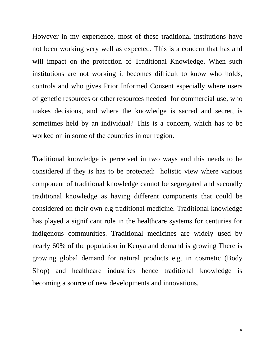However in my experience, most of these traditional institutions have not been working very well as expected. This is a concern that has and will impact on the protection of Traditional Knowledge. When such institutions are not working it becomes difficult to know who holds, controls and who gives Prior Informed Consent especially where users of genetic resources or other resources needed for commercial use, who makes decisions, and where the knowledge is sacred and secret, is sometimes held by an individual? This is a concern, which has to be worked on in some of the countries in our region.

Traditional knowledge is perceived in two ways and this needs to be considered if they is has to be protected: holistic view where various component of traditional knowledge cannot be segregated and secondly traditional knowledge as having different components that could be considered on their own e.g traditional medicine. Traditional knowledge has played a significant role in the healthcare systems for centuries for indigenous communities. Traditional medicines are widely used by nearly 60% of the population in Kenya and demand is growing There is growing global demand for natural products e.g. in cosmetic (Body Shop) and healthcare industries hence traditional knowledge is becoming a source of new developments and innovations.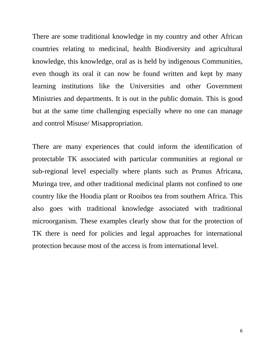There are some traditional knowledge in my country and other African countries relating to medicinal, health Biodiversity and agricultural knowledge, this knowledge, oral as is held by indigenous Communities, even though its oral it can now be found written and kept by many learning institutions like the Universities and other Government Ministries and departments. It is out in the public domain. This is good but at the same time challenging especially where no one can manage and control Misuse/ Misappropriation.

There are many experiences that could inform the identification of protectable TK associated with particular communities at regional or sub-regional level especially where plants such as Prunus Africana, Muringa tree, and other traditional medicinal plants not confined to one country like the Hoodia plant or Rooibos tea from southern Africa. This also goes with traditional knowledge associated with traditional microorganism. These examples clearly show that for the protection of TK there is need for policies and legal approaches for international protection because most of the access is from international level.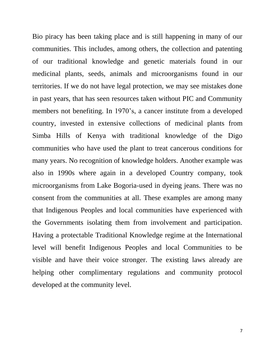Bio piracy has been taking place and is still happening in many of our communities. This includes, among others, the collection and patenting of our traditional knowledge and genetic materials found in our medicinal plants, seeds, animals and microorganisms found in our territories. If we do not have legal protection, we may see mistakes done in past years, that has seen resources taken without PIC and Community members not benefiting. In 1970's, a cancer institute from a developed country, invested in extensive collections of medicinal plants from Simba Hills of Kenya with traditional knowledge of the Digo communities who have used the plant to treat cancerous conditions for many years. No recognition of knowledge holders. Another example was also in 1990s where again in a developed Country company, took microorganisms from Lake Bogoria-used in dyeing jeans. There was no consent from the communities at all. These examples are among many that Indigenous Peoples and local communities have experienced with the Governments isolating them from involvement and participation. Having a protectable Traditional Knowledge regime at the International level will benefit Indigenous Peoples and local Communities to be visible and have their voice stronger. The existing laws already are helping other complimentary regulations and community protocol developed at the community level.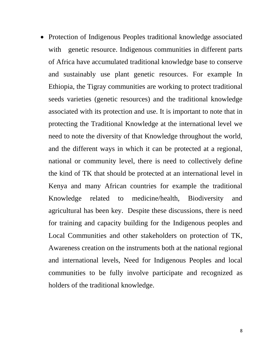• Protection of Indigenous Peoples traditional knowledge associated with genetic resource. Indigenous communities in different parts of Africa have accumulated traditional knowledge base to conserve and sustainably use plant genetic resources. For example In Ethiopia, the Tigray communities are working to protect traditional seeds varieties (genetic resources) and the traditional knowledge associated with its protection and use. It is important to note that in protecting the Traditional Knowledge at the international level we need to note the diversity of that Knowledge throughout the world, and the different ways in which it can be protected at a regional, national or community level, there is need to collectively define the kind of TK that should be protected at an international level in Kenya and many African countries for example the traditional Knowledge related to medicine/health, Biodiversity and agricultural has been key. Despite these discussions, there is need for training and capacity building for the Indigenous peoples and Local Communities and other stakeholders on protection of TK, Awareness creation on the instruments both at the national regional and international levels, Need for Indigenous Peoples and local communities to be fully involve participate and recognized as holders of the traditional knowledge.